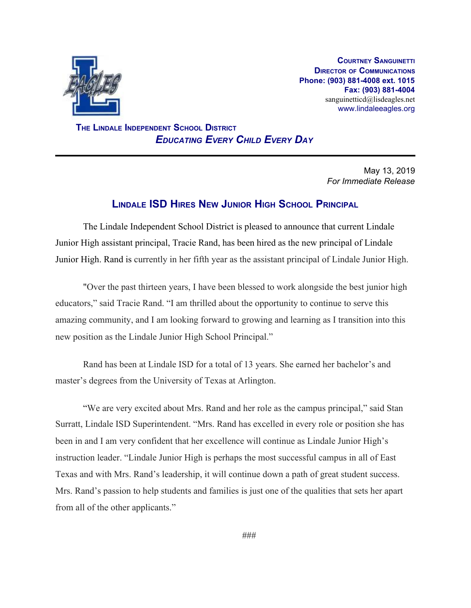

**COURTNEY SANGUINETTI DIRECTOR OF COMMUNICATIONS Phone: (903) 881-4008 ext. 1015 Fax: (903) 881-4004** sanguinetticd@lisdeagles.net www.lindaleeagles.org

 **THE LINDALE INDEPENDENT SCHOOL DISTRICT** *EDUCATING EVERY CHILD EVERY DAY*

> May 13, 2019 *For Immediate Release*

## **LINDALE ISD HIRES NEW JUNIOR HIGH SCHOOL PRINCIPAL**

The Lindale Independent School District is pleased to announce that current Lindale Junior High assistant principal, Tracie Rand, has been hired as the new principal of Lindale Junior High. Rand is currently in her fifth year as the assistant principal of Lindale Junior High.

"Over the past thirteen years, I have been blessed to work alongside the best junior high educators," said Tracie Rand. "I am thrilled about the opportunity to continue to serve this amazing community, and I am looking forward to growing and learning as I transition into this new position as the Lindale Junior High School Principal."

Rand has been at Lindale ISD for a total of 13 years. She earned her bachelor's and master's degrees from the University of Texas at Arlington.

"We are very excited about Mrs. Rand and her role as the campus principal," said Stan Surratt, Lindale ISD Superintendent. "Mrs. Rand has excelled in every role or position she has been in and I am very confident that her excellence will continue as Lindale Junior High's instruction leader. "Lindale Junior High is perhaps the most successful campus in all of East Texas and with Mrs. Rand's leadership, it will continue down a path of great student success. Mrs. Rand's passion to help students and families is just one of the qualities that sets her apart from all of the other applicants."